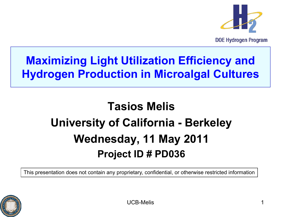

**DOE Hydrogen Program** 

### **Maximizing Light Utilization Efficiency and Hydrogen Production in Microalgal Cultures**

## **Tasios Melis University of California - Berkeley Wednesday, 11 May 2011 Project ID # PD036**

This presentation does not contain any proprietary, confidential, or otherwise restricted information

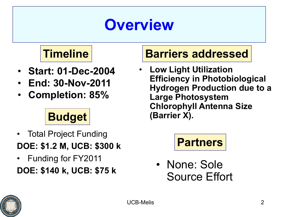# **Overview**

## **Timeline**

- **Start: 01-Dec-2004**
- **End: 30-Nov-2011**
- **Completion: 85%**

## **Budget**

- Total Project Funding **DOE: \$1.2 M, UCB: \$300 k**
- Funding for FY2011 **DOE: \$140 k, UCB: \$75 k**

#### **Barriers addressed**

• **Low Light Utilization Efficiency in Photobiological Hydrogen Production due to a Large Photosystem Chlorophyll Antenna Size (Barrier X).**



• None: Sole Source Effort

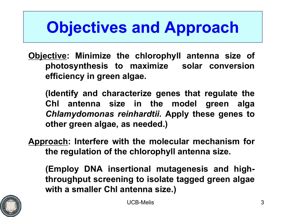# **Objectives and Approach**

**Objective: Minimize the chlorophyll antenna size of photosynthesis to maximize solar conversion efficiency in green algae.**

**(Identify and characterize genes that regulate the Chl antenna size in the model green alga** *Chlamydomonas reinhardtii.* **Apply these genes to other green algae, as needed.)**

**Approach: Interfere with the molecular mechanism for the regulation of the chlorophyll antenna size.**

**(Employ DNA insertional mutagenesis and highthroughput screening to isolate tagged green algae with a smaller Chl antenna size.)**

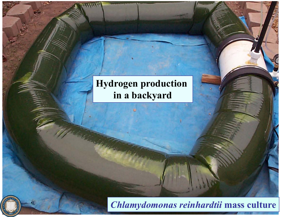#### **Hydrogen production in a backyard**

UCB-Melis <sup>4</sup> *Chlamydomonas reinhardtii* **mass culture**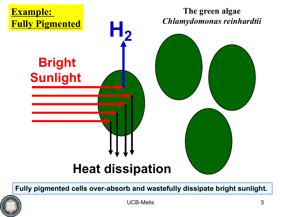

**Fully pigmented cells over-absorb and wastefully dissipate bright sunlight.**

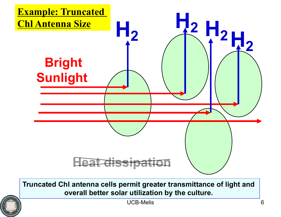

**Truncated Chl antenna cells permit greater transmittance of light and overall better solar utilization by the culture.**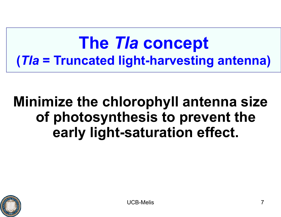# **The** *Tla* **concept (***Tla* **= Truncated light-harvesting antenna)**

## **Minimize the chlorophyll antenna size of photosynthesis to prevent the early light-saturation effect.**

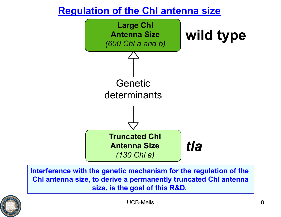#### **Regulation of the Chl antenna size**



**Interference with the genetic mechanism for the regulation of the Chl antenna size, to derive a permanently truncated Chl antenna size, is the goal of this R&D.**

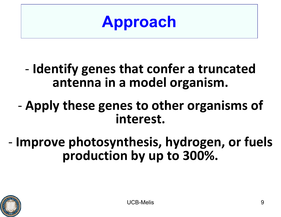**Approach**

## - **Identify genes that confer a truncated antenna in a model organism.**

- **Apply these genes to other organisms of interest.**
- **Improve photosynthesis, hydrogen, or fuels production by up to 300%.**

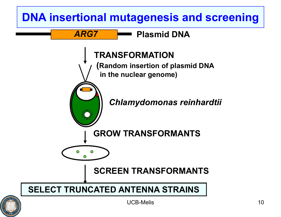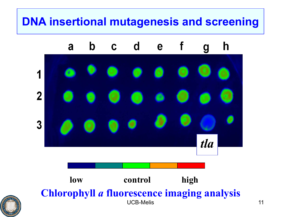### **DNA insertional mutagenesis and screening**

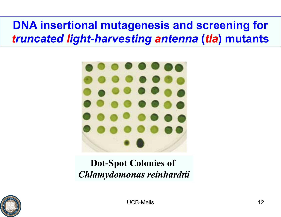### **DNA insertional mutagenesis and screening for**  *truncated light-harvesting antenna* **(***tla***) mutants**



#### **Dot-Spot Colonies of**  *Chlamydomonas reinhardtii*

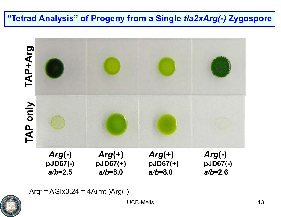#### **"Tetrad Analysis" of Progeny from a Single** *tla2xArg(-)* **Zygospore**





UCB-Melis 13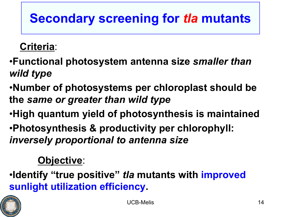## **Secondary screening for** *tla* **mutants**

#### **Criteria**:

- •**Functional photosystem antenna size** *smaller than wild type*
- •**Number of photosystems per chloroplast should be the** *same or greater than wild type*
- •**High quantum yield of photosynthesis is maintained**
- •**Photosynthesis & productivity per chlorophyll:**  *inversely proportional to antenna size*

#### **Objective**:

•**Identify "true positive"** *tla* **mutants with improved sunlight utilization efficiency.**

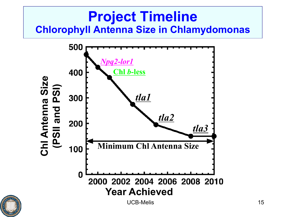### **Project Timeline Chlorophyll Antenna Size in Chlamydomonas**

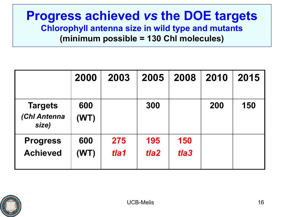#### **Progress achieved** *vs* **the DOE targets Chlorophyll antenna size in wild type and mutants (minimum possible = 130 Chl molecules)**

|                                         | 2000        | 2003        | 2005                    | 2008        | 2010 | 2015 |
|-----------------------------------------|-------------|-------------|-------------------------|-------------|------|------|
| <b>Targets</b><br>(Chl Antenna<br>size) | 600<br>(WT) |             | 300                     |             | 200  | 150  |
| <b>Progress</b><br><b>Achieved</b>      | 600<br>(WT) | 275<br>tla1 | 195<br>tla <sub>2</sub> | 150<br>tla3 |      |      |

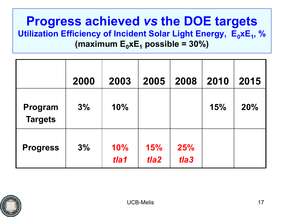#### **Progress achieved** *vs* **the DOE targets Utilization Efficiency of Incident Solar Light Energy, E<sub>0</sub>xE<sub>1</sub>, %** (maximum  $E_0xE_1$  possible = 30%)

|                           | 2000 | 2003        | 2005                    | 2008        | 2010 | 2015 |
|---------------------------|------|-------------|-------------------------|-------------|------|------|
| Program<br><b>Targets</b> | 3%   | 10%         |                         |             | 15%  | 20%  |
| <b>Progress</b>           | 3%   | 10%<br>tla1 | 15%<br>tla <sub>2</sub> | 25%<br>tla3 |      |      |

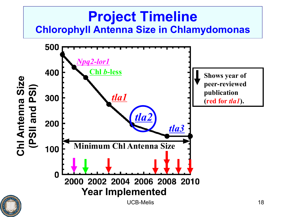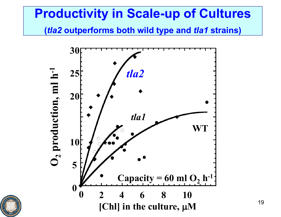### **Productivity in Scale-up of Cultures**

**(***tla2* **outperforms both wild type and** *tla1* **strains)**



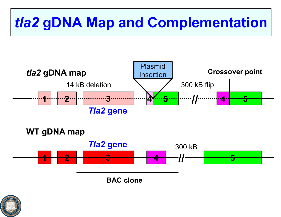# *tla2* **gDNA Map and Complementation**





**BAC clone**

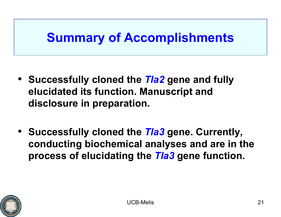## **Summary of Accomplishments**

- **Successfully cloned the** *Tla2* **gene and fully elucidated its function. Manuscript and disclosure in preparation.**
- **Successfully cloned the** *Tla3* **gene. Currently, conducting biochemical analyses and are in the process of elucidating the** *Tla3* **gene function.**

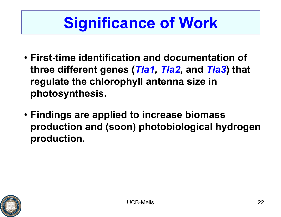# **Significance of Work**

- **First-time identification and documentation of three different genes (***Tla1, Tla2,* **and** *Tla3***) that regulate the chlorophyll antenna size in photosynthesis.**
- **Findings are applied to increase biomass production and (soon) photobiological hydrogen production.**

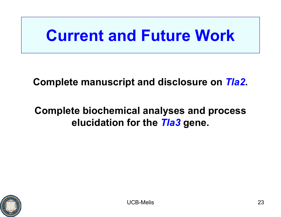# **Current and Future Work**

#### **Complete manuscript and disclosure on** *Tla2***.**

#### **Complete biochemical analyses and process elucidation for the** *Tla3* **gene.**

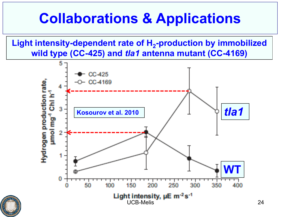# **Collaborations & Applications**

Light intensity-dependent rate of H<sub>2</sub>-production by immobilized **wild type (CC-425) and** *tla1* **antenna mutant (CC-4169)**